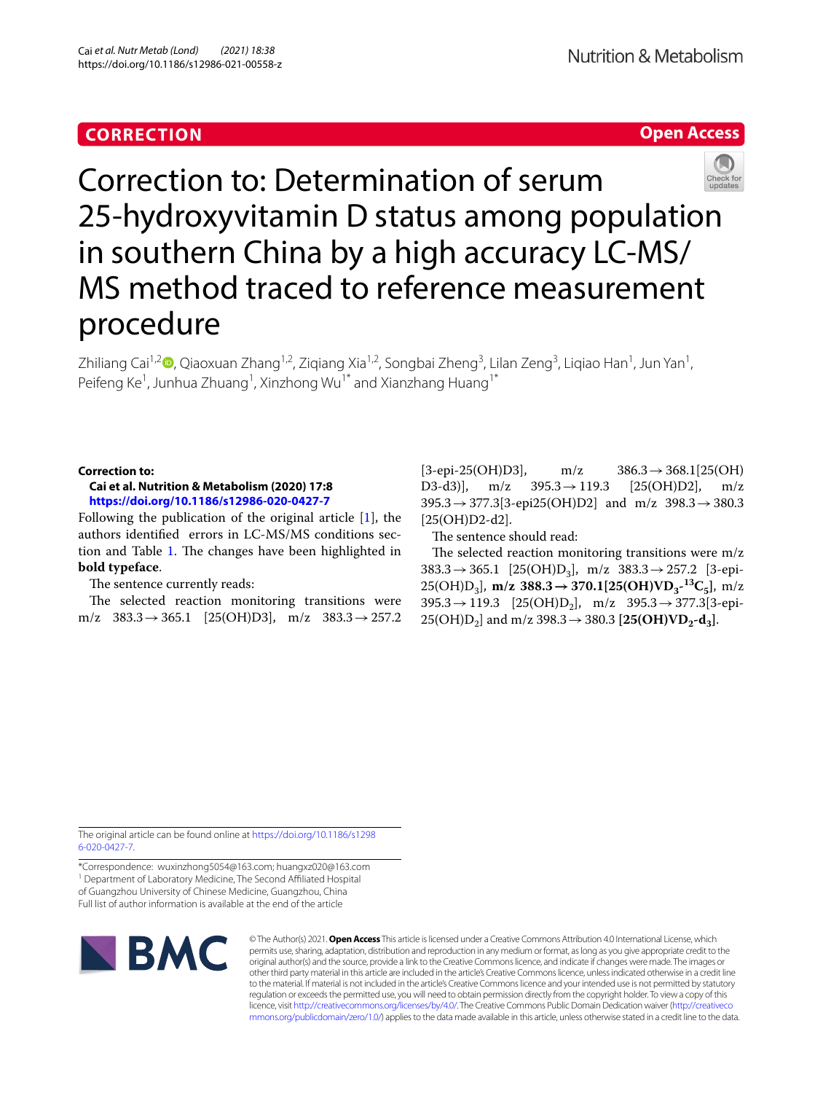# **CORRECTION**

# **Open Access**



Correction to: Determination of serum 25-hydroxyvitamin D status among population in southern China by a high accuracy LC-MS/ MS method traced to reference measurement procedure

Zhiliang Cai<sup>1,2</sup>**D**[,](http://orcid.org/0000-0001-5348-8992) Qiaoxuan Zhang<sup>1,2</sup>, Ziqiang Xia<sup>1,2</sup>, Songbai Zheng<sup>3</sup>, Lilan Zeng<sup>3</sup>, Liqiao Han<sup>1</sup>, Jun Yan<sup>1</sup>, Peifeng Ke<sup>1</sup>, Junhua Zhuang<sup>1</sup>, Xinzhong Wu<sup>1\*</sup> and Xianzhang Huang<sup>1\*</sup>

### **Correction to:**

## **Cai et al. Nutrition & Metabolism (2020) 17:8 <https://doi.org/10.1186/s12986-020-0427-7>**

Following the publication of the original article [\[1](#page-1-0)], the authors identifed errors in LC-MS/MS conditions sec-tion and Table [1.](#page-1-1) The changes have been highlighted in **bold typeface**.

### The sentence currently reads:

The selected reaction monitoring transitions were m/z  $383.3 \rightarrow 365.1$  [25(OH)D3], m/z  $383.3 \rightarrow 257.2$ 

 $[3-\text{epi-25(OH)D3}]$ , m/z  $386.3 \rightarrow 368.1[25(OH)D3-d3)]$ , m/z  $395.3 \rightarrow 119.3$   $[25(OH)D2]$ , m/z D3-d3)],  $m/z = 395.3 \rightarrow 119.3$  $395.3 \rightarrow 377.3[3-\text{epi25}(\text{OH})D2]$  and m/z  $398.3 \rightarrow 380.3$ [25(OH)D2-d2].

The sentence should read:

The selected reaction monitoring transitions were  $m/z$  $383.3 \rightarrow 365.1$  [25(OH)D<sub>3</sub>], m/z  $383.3 \rightarrow 257.2$  [3-epi- $25(OH)D_3$ , **m/z 388.3→370.1[25(OH)VD<sub>3</sub><sup>-13</sup>C<sub>5</sub>**, **m/z**  $395.3 \rightarrow 119.3$  [25(OH)D<sub>2</sub>], m/z  $395.3 \rightarrow 377.3[3-\text{epi-}$  $25(OH)D_2$ ] and m/z 398.3  $\rightarrow$  380.3 [25(OH)VD<sub>2</sub>-d<sub>3</sub>].

The original article can be found online at [https://doi.org/10.1186/s1298](https://doi.org/10.1186/s12986-020-0427-7) [6-020-0427-7](https://doi.org/10.1186/s12986-020-0427-7).

\*Correspondence: wuxinzhong5054@163.com; huangxz020@163.com <sup>1</sup> Department of Laboratory Medicine, The Second Affiliated Hospital of Guangzhou University of Chinese Medicine, Guangzhou, China Full list of author information is available at the end of the article



© The Author(s) 2021. **Open Access** This article is licensed under a Creative Commons Attribution 4.0 International License, which permits use, sharing, adaptation, distribution and reproduction in any medium or format, as long as you give appropriate credit to the original author(s) and the source, provide a link to the Creative Commons licence, and indicate if changes were made. The images or other third party material in this article are included in the article's Creative Commons licence, unless indicated otherwise in a credit line to the material. If material is not included in the article's Creative Commons licence and your intended use is not permitted by statutory regulation or exceeds the permitted use, you will need to obtain permission directly from the copyright holder. To view a copy of this licence, visit [http://creativecommons.org/licenses/by/4.0/.](http://creativecommons.org/licenses/by/4.0/) The Creative Commons Public Domain Dedication waiver ([http://creativeco](http://creativecommons.org/publicdomain/zero/1.0/) [mmons.org/publicdomain/zero/1.0/](http://creativecommons.org/publicdomain/zero/1.0/)) applies to the data made available in this article, unless otherwise stated in a credit line to the data.